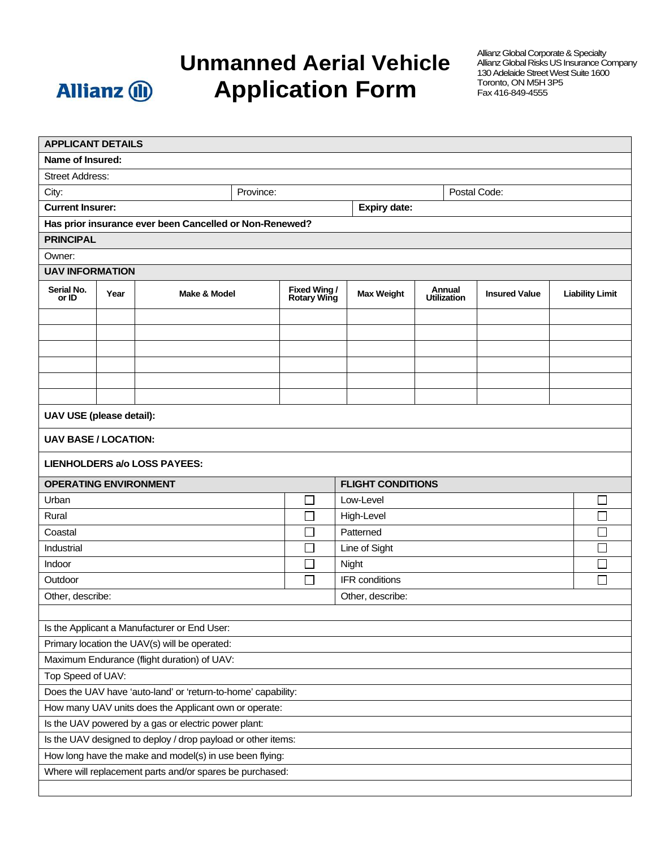

## **Unmanned Aerial Vehicle Application Form**

Allianz Global Corporate & Specialty Allianz Global Risks US Insurance Company 130 Adelaide Street West Suite 1600 Toronto, ON M5H 3P5 Fax 416-849-4555

| <b>APPLICANT DETAILS</b>                                      |      |                                                         |               |                                     |                                     |                              |                      |                        |  |
|---------------------------------------------------------------|------|---------------------------------------------------------|---------------|-------------------------------------|-------------------------------------|------------------------------|----------------------|------------------------|--|
| <b>Name of Insured:</b>                                       |      |                                                         |               |                                     |                                     |                              |                      |                        |  |
| <b>Street Address:</b>                                        |      |                                                         |               |                                     |                                     |                              |                      |                        |  |
| Province:<br>City:                                            |      |                                                         |               | Postal Code:                        |                                     |                              |                      |                        |  |
| <b>Current Insurer:</b>                                       |      |                                                         |               | <b>Expiry date:</b>                 |                                     |                              |                      |                        |  |
|                                                               |      | Has prior insurance ever been Cancelled or Non-Renewed? |               |                                     |                                     |                              |                      |                        |  |
| <b>PRINCIPAL</b>                                              |      |                                                         |               |                                     |                                     |                              |                      |                        |  |
| Owner:                                                        |      |                                                         |               |                                     |                                     |                              |                      |                        |  |
| <b>UAV INFORMATION</b>                                        |      |                                                         |               |                                     |                                     |                              |                      |                        |  |
| Serial No.<br>or ID                                           | Year | Make & Model                                            |               | <b>Fixed Wing /<br/>Rotary Wing</b> |                                     | Annual<br><b>Utilization</b> | <b>Insured Value</b> | <b>Liability Limit</b> |  |
|                                                               |      |                                                         |               |                                     |                                     |                              |                      |                        |  |
|                                                               |      |                                                         |               |                                     |                                     |                              |                      |                        |  |
|                                                               |      |                                                         |               |                                     |                                     |                              |                      |                        |  |
|                                                               |      |                                                         |               |                                     |                                     |                              |                      |                        |  |
|                                                               |      |                                                         |               |                                     |                                     |                              |                      |                        |  |
|                                                               |      |                                                         |               |                                     |                                     |                              |                      |                        |  |
| UAV USE (please detail):                                      |      |                                                         |               |                                     |                                     |                              |                      |                        |  |
| <b>UAV BASE / LOCATION:</b>                                   |      |                                                         |               |                                     |                                     |                              |                      |                        |  |
| <b>LIENHOLDERS a/o LOSS PAYEES:</b>                           |      |                                                         |               |                                     |                                     |                              |                      |                        |  |
| <b>FLIGHT CONDITIONS</b><br><b>OPERATING ENVIRONMENT</b>      |      |                                                         |               |                                     |                                     |                              |                      |                        |  |
| Urban                                                         |      |                                                         |               |                                     | Low-Level                           |                              |                      | $\mathsf{I}$           |  |
| Rural                                                         |      |                                                         |               |                                     | High-Level<br>$\mathcal{L}$         |                              |                      |                        |  |
| Coastal                                                       |      |                                                         |               |                                     | Patterned<br>$\mathcal{L}$          |                              |                      |                        |  |
| Industrial                                                    |      |                                                         | $\mathcal{L}$ |                                     | Line of Sight                       |                              |                      |                        |  |
| Indoor                                                        |      |                                                         |               |                                     | Night                               |                              |                      |                        |  |
| Outdoor                                                       |      |                                                         | П             |                                     | IFR conditions<br>$\vert \ \ \vert$ |                              |                      |                        |  |
| Other, describe:<br>Other, describe:                          |      |                                                         |               |                                     |                                     |                              |                      |                        |  |
|                                                               |      |                                                         |               |                                     |                                     |                              |                      |                        |  |
| Is the Applicant a Manufacturer or End User:                  |      |                                                         |               |                                     |                                     |                              |                      |                        |  |
| Primary location the UAV(s) will be operated:                 |      |                                                         |               |                                     |                                     |                              |                      |                        |  |
| Maximum Endurance (flight duration) of UAV:                   |      |                                                         |               |                                     |                                     |                              |                      |                        |  |
| Top Speed of UAV:                                             |      |                                                         |               |                                     |                                     |                              |                      |                        |  |
| Does the UAV have 'auto-land' or 'return-to-home' capability: |      |                                                         |               |                                     |                                     |                              |                      |                        |  |
| How many UAV units does the Applicant own or operate:         |      |                                                         |               |                                     |                                     |                              |                      |                        |  |
| Is the UAV powered by a gas or electric power plant:          |      |                                                         |               |                                     |                                     |                              |                      |                        |  |
| Is the UAV designed to deploy / drop payload or other items:  |      |                                                         |               |                                     |                                     |                              |                      |                        |  |
|                                                               |      | How long have the make and model(s) in use been flying: |               |                                     |                                     |                              |                      |                        |  |
| Where will replacement parts and/or spares be purchased:      |      |                                                         |               |                                     |                                     |                              |                      |                        |  |
|                                                               |      |                                                         |               |                                     |                                     |                              |                      |                        |  |